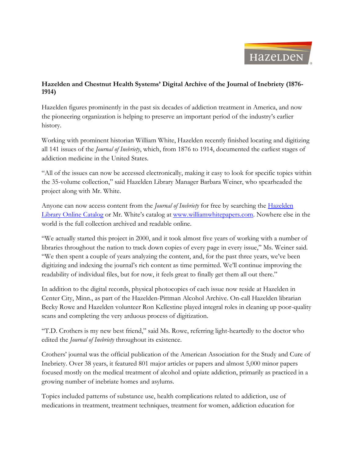

## **Hazelden and Chestnut Health Systems' Digital Archive of the Journal of Inebriety (1876- 1914)**

Hazelden figures prominently in the past six decades of addiction treatment in America, and now the pioneering organization is helping to preserve an important period of the industry's earlier history.

Working with prominent historian William White, Hazelden recently finished locating and digitizing all 141 issues of the *Journal of Inebriety*, which, from 1876 to 1914, documented the earliest stages of addiction medicine in the United States.

"All of the issues can now be accessed electronically, making it easy to look for specific topics within the 35-volume collection," said Hazelden Library Manager Barbara Weiner, who spearheaded the project along with Mr. White.

Anyone can now access content from the *Journal of Inebriety* for free by searching the [Hazelden](http://library.hazelden.org/InmagicGenie/opac.aspx)  [Library Online Catalog](http://library.hazelden.org/InmagicGenie/opac.aspx) or Mr. White's catalog at [www.williamwhitepapers.com.](http://www.williamwhitepapers.com/) Nowhere else in the world is the full collection archived and readable online.

"We actually started this project in 2000, and it took almost five years of working with a number of libraries throughout the nation to track down copies of every page in every issue," Ms. Weiner said. "We then spent a couple of years analyzing the content, and, for the past three years, we've been digitizing and indexing the journal's rich content as time permitted. We'll continue improving the readability of individual files, but for now, it feels great to finally get them all out there."

In addition to the digital records, physical photocopies of each issue now reside at Hazelden in Center City, Minn., as part of the Hazelden-Pittman Alcohol Archive. On-call Hazelden librarian Becky Rowe and Hazelden volunteer Ron Kellestine played integral roles in cleaning up poor-quality scans and completing the very arduous process of digitization.

"T.D. Crothers is my new best friend," said Ms. Rowe, referring light-heartedly to the doctor who edited the *Journal of Inebriety* throughout its existence.

Crothers' journal was the official publication of the American Association for the Study and Cure of Inebriety. Over 38 years, it featured 801 major articles or papers and almost 5,000 minor papers focused mostly on the medical treatment of alcohol and opiate addiction, primarily as practiced in a growing number of inebriate homes and asylums.

Topics included patterns of substance use, health complications related to addiction, use of medications in treatment, treatment techniques, treatment for women, addiction education for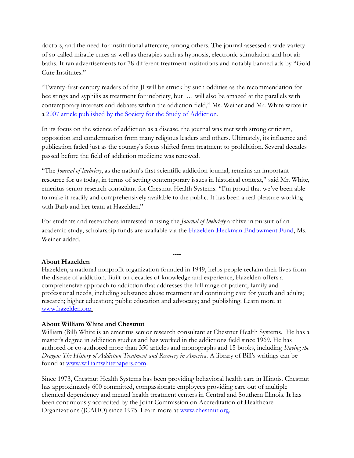doctors, and the need for institutional aftercare, among others. The journal assessed a wide variety of so-called miracle cures as well as therapies such as hypnosis, electronic stimulation and hot air baths. It ran advertisements for 78 different treatment institutions and notably banned ads by "Gold Cure Institutes."

"Twenty-first-century readers of the JI will be struck by such oddities as the recommendation for bee stings and syphilis as treatment for inebriety, but … will also be amazed at the parallels with contemporary interests and debates within the addiction field," Ms. Weiner and Mr. White wrote in a [2007 article published by the Society for the Study of Addiction.](http://core.ecu.edu/engl/fyw/writing/Journal%20of%20Inebriety%20Article.pdf)

In its focus on the science of addiction as a disease, the journal was met with strong criticism, opposition and condemnation from many religious leaders and others. Ultimately, its influence and publication faded just as the country's focus shifted from treatment to prohibition. Several decades passed before the field of addiction medicine was renewed.

"The *Journal of Inebriety*, as the nation's first scientific addiction journal, remains an important resource for us today, in terms of setting contemporary issues in historical context," said Mr. White, emeritus senior research consultant for Chestnut Health Systems. "I'm proud that we've been able to make it readily and comprehensively available to the public. It has been a real pleasure working with Barb and her team at Hazelden."

For students and researchers interested in using the *Journal of Inebriety* archive in pursuit of an academic study, scholarship funds are available via the [Hazelden-Heckman Endowment Fund,](http://www.hazelden.org/web/public/heckman_fellowship.page) Ms. Weiner added.

----

## **About Hazelden**

Hazelden, a national nonprofit organization founded in 1949, helps people reclaim their lives from the disease of addiction. Built on decades of knowledge and experience, Hazelden offers a comprehensive approach to addiction that addresses the full range of patient, family and professional needs, including substance abuse treatment and continuing care for youth and adults; research; higher education; public education and advocacy; and publishing. Learn more at [www.hazelden.org.](http://www.hazelden.org/)

## **About William White and Chestnut**

William (Bill) White is an emeritus senior research consultant at Chestnut Health Systems. He has a master's degree in addiction studies and has worked in the addictions field since 1969. He has authored or co-authored more than 350 articles and monographs and 15 books, including *Slaying the Dragon: The History of Addiction Treatment and Recovery in America*. A library of Bill's writings can be found at [www.williamwhitepapers.com.](http://www.williamwhitepapers.com/)

Since 1973, Chestnut Health Systems has been providing behavioral health care in Illinois. Chestnut has approximately 600 committed, compassionate employees providing care out of multiple chemical dependency and mental health treatment centers in Central and Southern Illinois. It has been continuously accredited by the Joint Commission on Accreditation of Healthcare Organizations (JCAHO) since 1975. Learn more at [www.chestnut.org.](http://www.chestnut.org/)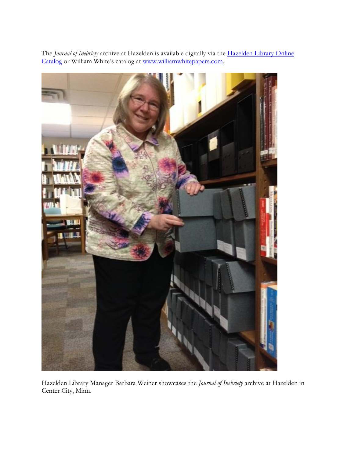

The *Journal of Inebriety* archive at Hazelden is available digitally via the [Hazelden Library Online](http://library.hazelden.org/InmagicGenie/opac.aspx)  [Catalog](http://library.hazelden.org/InmagicGenie/opac.aspx) or William White's catalog at [www.williamwhitepapers.com.](http://www.williamwhitepapers.com/)

Hazelden Library Manager Barbara Weiner showcases the *Journal of Inebriety* archive at Hazelden in Center City, Minn.